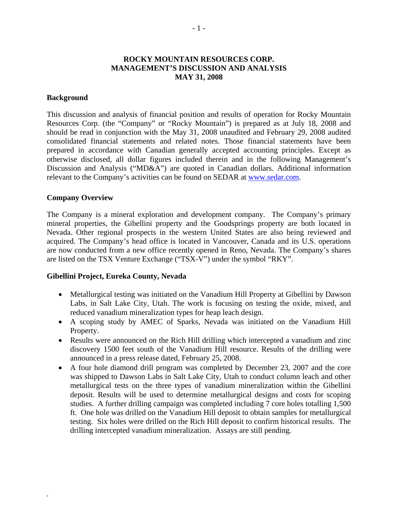# **ROCKY MOUNTAIN RESOURCES CORP. MANAGEMENT'S DISCUSSION AND ANALYSIS MAY 31, 2008**

#### **Background**

This discussion and analysis of financial position and results of operation for Rocky Mountain Resources Corp. (the "Company" or "Rocky Mountain") is prepared as at July 18, 2008 and should be read in conjunction with the May 31, 2008 unaudited and February 29, 2008 audited consolidated financial statements and related notes. Those financial statements have been prepared in accordance with Canadian generally accepted accounting principles. Except as otherwise disclosed, all dollar figures included therein and in the following Management's Discussion and Analysis ("MD&A") are quoted in Canadian dollars. Additional information relevant to the Company's activities can be found on SEDAR at www.sedar.com.

#### **Company Overview**

F

The Company is a mineral exploration and development company. The Company's primary mineral properties, the Gibellini property and the Goodsprings property are both located in Nevada. Other regional prospects in the western United States are also being reviewed and acquired. The Company's head office is located in Vancouver, Canada and its U.S. operations are now conducted from a new office recently opened in Reno, Nevada. The Company's shares are listed on the TSX Venture Exchange ("TSX-V") under the symbol "RKY".

# **Gibellini Project, Eureka County, Nevada**

- Metallurgical testing was initiated on the Vanadium Hill Property at Gibellini by Dawson Labs, in Salt Lake City, Utah. The work is focusing on testing the oxide, mixed, and reduced vanadium mineralization types for heap leach design.
- A scoping study by AMEC of Sparks, Nevada was initiated on the Vanadium Hill Property.
- Results were announced on the Rich Hill drilling which intercepted a vanadium and zinc discovery 1500 feet south of the Vanadium Hill resource. Results of the drilling were announced in a press release dated, February 25, 2008.
- A four hole diamond drill program was completed by December 23, 2007 and the core was shipped to Dawson Labs in Salt Lake City, Utah to conduct column leach and other metallurgical tests on the three types of vanadium mineralization within the Gibellini deposit. Results will be used to determine metallurgical designs and costs for scoping studies. A further drilling campaign was completed including 7 core holes totalling 1,500 ft. One hole was drilled on the Vanadium Hill deposit to obtain samples for metallurgical testing. Six holes were drilled on the Rich Hill deposit to confirm historical results. The drilling intercepted vanadium mineralization. Assays are still pending.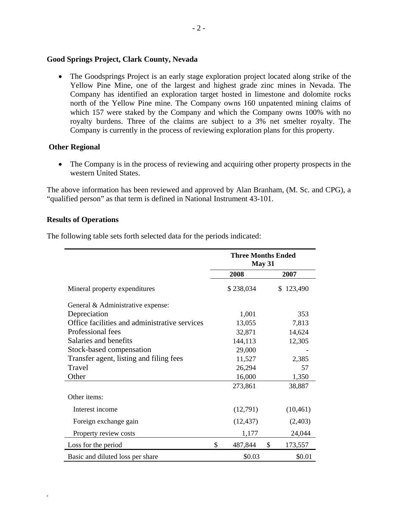#### **Good Springs Project, Clark County, Nevada**

• The Goodsprings Project is an early stage exploration project located along strike of the Yellow Pine Mine, one of the largest and highest grade zinc mines in Nevada. The Company has identified an exploration target hosted in limestone and dolomite rocks north of the Yellow Pine mine. The Company owns 160 unpatented mining claims of which 157 were staked by the Company and which the Company owns 100% with no royalty burdens. Three of the claims are subject to a 3% net smelter royalty. The Company is currently in the process of reviewing exploration plans for this property.

# **Other Regional**

• The Company is in the process of reviewing and acquiring other property prospects in the western United States.

The above information has been reviewed and approved by Alan Branham, (M. Sc. and CPG), a "qualified person" as that term is defined in National Instrument 43-101.

#### **Results of Operations**

F

The following table sets forth selected data for the periods indicated:

|                                               | <b>Three Months Ended</b><br>May 31 |           |              |           |
|-----------------------------------------------|-------------------------------------|-----------|--------------|-----------|
|                                               |                                     | 2008      |              | 2007      |
| Mineral property expenditures                 |                                     | \$238,034 |              | \$123,490 |
| General & Administrative expense:             |                                     |           |              |           |
| Depreciation                                  |                                     | 1,001     | 353          |           |
| Office facilities and administrative services |                                     | 13,055    | 7,813        |           |
| Professional fees                             | 32,871                              |           |              | 14,624    |
| Salaries and benefits                         | 144,113                             |           |              | 12,305    |
| Stock-based compensation                      |                                     | 29,000    |              |           |
| Transfer agent, listing and filing fees       |                                     | 11,527    |              | 2,385     |
| Travel                                        |                                     | 26,294    |              | 57        |
| Other                                         | 16,000                              |           |              | 1,350     |
|                                               |                                     | 273,861   |              | 38,887    |
| Other items:                                  |                                     |           |              |           |
| Interest income                               |                                     | (12,791)  |              | (10, 461) |
| Foreign exchange gain                         |                                     | (12, 437) |              | (2,403)   |
| Property review costs                         |                                     | 1,177     |              | 24,044    |
| Loss for the period                           | \$                                  | 487,844   | $\mathbb{S}$ | 173,557   |
| Basic and diluted loss per share              |                                     | \$0.03    |              | \$0.01    |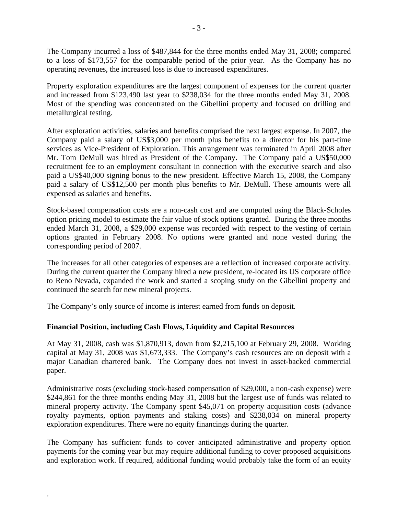The Company incurred a loss of \$487,844 for the three months ended May 31, 2008; compared to a loss of \$173,557 for the comparable period of the prior year. As the Company has no operating revenues, the increased loss is due to increased expenditures.

Property exploration expenditures are the largest component of expenses for the current quarter and increased from \$123,490 last year to \$238,034 for the three months ended May 31, 2008. Most of the spending was concentrated on the Gibellini property and focused on drilling and metallurgical testing.

After exploration activities, salaries and benefits comprised the next largest expense. In 2007, the Company paid a salary of US\$3,000 per month plus benefits to a director for his part-time services as Vice-President of Exploration. This arrangement was terminated in April 2008 after Mr. Tom DeMull was hired as President of the Company. The Company paid a US\$50,000 recruitment fee to an employment consultant in connection with the executive search and also paid a US\$40,000 signing bonus to the new president. Effective March 15, 2008, the Company paid a salary of US\$12,500 per month plus benefits to Mr. DeMull. These amounts were all expensed as salaries and benefits.

Stock-based compensation costs are a non-cash cost and are computed using the Black-Scholes option pricing model to estimate the fair value of stock options granted. During the three months ended March 31, 2008, a \$29,000 expense was recorded with respect to the vesting of certain options granted in February 2008. No options were granted and none vested during the corresponding period of 2007.

The increases for all other categories of expenses are a reflection of increased corporate activity. During the current quarter the Company hired a new president, re-located its US corporate office to Reno Nevada, expanded the work and started a scoping study on the Gibellini property and continued the search for new mineral projects.

The Company's only source of income is interest earned from funds on deposit.

# **Financial Position, including Cash Flows, Liquidity and Capital Resources**

F

At May 31, 2008, cash was \$1,870,913, down from \$2,215,100 at February 29, 2008. Working capital at May 31, 2008 was \$1,673,333. The Company's cash resources are on deposit with a major Canadian chartered bank. The Company does not invest in asset-backed commercial paper.

Administrative costs (excluding stock-based compensation of \$29,000, a non-cash expense) were \$244,861 for the three months ending May 31, 2008 but the largest use of funds was related to mineral property activity. The Company spent \$45,071 on property acquisition costs (advance royalty payments, option payments and staking costs) and \$238,034 on mineral property exploration expenditures. There were no equity financings during the quarter.

The Company has sufficient funds to cover anticipated administrative and property option payments for the coming year but may require additional funding to cover proposed acquisitions and exploration work. If required, additional funding would probably take the form of an equity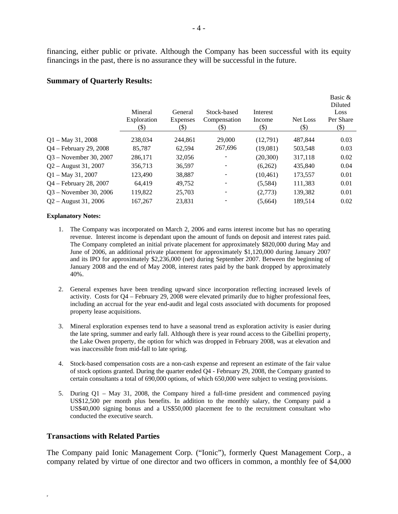financing, either public or private. Although the Company has been successful with its equity financings in the past, there is no assurance they will be successful in the future.

#### **Summary of Quarterly Results:**

|                           | Mineral<br>Exploration<br>(\$) | General<br><b>Expenses</b><br>(\$) | Stock-based<br>Compensation<br>(\$) | Interest<br>Income<br>(\$) | Net Loss<br>(\$) | Basic &<br>Diluted<br>Loss<br>Per Share<br>$(\boldsymbol{\mathsf{S}})$ |
|---------------------------|--------------------------------|------------------------------------|-------------------------------------|----------------------------|------------------|------------------------------------------------------------------------|
| $Q1 - May 31, 2008$       | 238,034                        | 244.861                            | 29,000                              | (12,791)                   | 487.844          | 0.03                                                                   |
| $Q4 - February\ 29, 2008$ | 85,787                         | 62,594                             | 267,696                             | (19,081)                   | 503,548          | 0.03                                                                   |
| $Q3$ – November 30, 2007  | 286,171                        | 32,056                             | $\overline{\phantom{a}}$            | (20, 300)                  | 317,118          | 0.02                                                                   |
| $Q2 -$ August 31, 2007    | 356,713                        | 36,597                             | $\overline{\phantom{a}}$            | (6,262)                    | 435,840          | 0.04                                                                   |
| $Q1 - May 31, 2007$       | 123,490                        | 38,887                             | -                                   | (10, 461)                  | 173,557          | 0.01                                                                   |
| Q4 - February 28, 2007    | 64,419                         | 49,752                             |                                     | (5,584)                    | 111,383          | 0.01                                                                   |
| $Q3 - November 30, 2006$  | 119,822                        | 25,703                             | $\overline{\phantom{a}}$            | (2,773)                    | 139,382          | 0.01                                                                   |
| $Q2 -$ August 31, 2006    | 167,267                        | 23,831                             |                                     | (5,664)                    | 189,514          | 0.02                                                                   |

#### **Explanatory Notes:**

- 1. The Company was incorporated on March 2, 2006 and earns interest income but has no operating revenue. Interest income is dependant upon the amount of funds on deposit and interest rates paid. The Company completed an initial private placement for approximately \$820,000 during May and June of 2006, an additional private placement for approximately \$1,120,000 during January 2007 and its IPO for approximately \$2,236,000 (net) during September 2007. Between the beginning of January 2008 and the end of May 2008, interest rates paid by the bank dropped by approximately 40%.
- 2. General expenses have been trending upward since incorporation reflecting increased levels of activity. Costs for Q4 – February 29, 2008 were elevated primarily due to higher professional fees, including an accrual for the year end-audit and legal costs associated with documents for proposed property lease acquisitions.
- 3. Mineral exploration expenses tend to have a seasonal trend as exploration activity is easier during the late spring, summer and early fall. Although there is year round access to the Gibellini property, the Lake Owen property, the option for which was dropped in February 2008, was at elevation and was inaccessible from mid-fall to late spring.
- 4. Stock-based compensation costs are a non-cash expense and represent an estimate of the fair value of stock options granted. During the quarter ended Q4 - February 29, 2008, the Company granted to certain consultants a total of 690,000 options, of which 650,000 were subject to vesting provisions.
- 5. During Q1 May 31, 2008, the Company hired a full-time president and commenced paying US\$12,500 per month plus benefits. In addition to the monthly salary, the Company paid a US\$40,000 signing bonus and a US\$50,000 placement fee to the recruitment consultant who conducted the executive search.

# **Transactions with Related Parties**

F

The Company paid Ionic Management Corp. ("Ionic"), formerly Quest Management Corp., a company related by virtue of one director and two officers in common, a monthly fee of \$4,000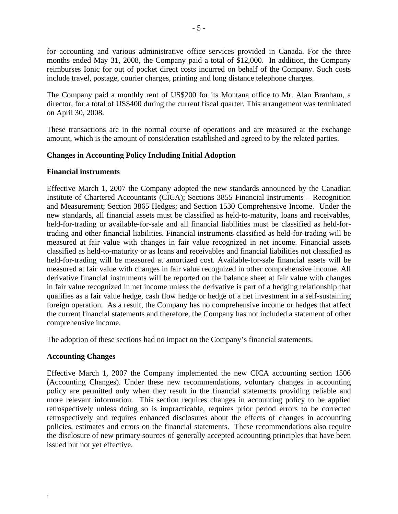for accounting and various administrative office services provided in Canada. For the three months ended May 31, 2008, the Company paid a total of \$12,000. In addition, the Company reimburses Ionic for out of pocket direct costs incurred on behalf of the Company. Such costs include travel, postage, courier charges, printing and long distance telephone charges.

The Company paid a monthly rent of US\$200 for its Montana office to Mr. Alan Branham, a director, for a total of US\$400 during the current fiscal quarter. This arrangement was terminated on April 30, 2008.

These transactions are in the normal course of operations and are measured at the exchange amount, which is the amount of consideration established and agreed to by the related parties.

# **Changes in Accounting Policy Including Initial Adoption**

# **Financial instruments**

Effective March 1, 2007 the Company adopted the new standards announced by the Canadian Institute of Chartered Accountants (CICA); Sections 3855 Financial Instruments – Recognition and Measurement; Section 3865 Hedges; and Section 1530 Comprehensive Income. Under the new standards, all financial assets must be classified as held-to-maturity, loans and receivables, held-for-trading or available-for-sale and all financial liabilities must be classified as held-fortrading and other financial liabilities. Financial instruments classified as held-for-trading will be measured at fair value with changes in fair value recognized in net income. Financial assets classified as held-to-maturity or as loans and receivables and financial liabilities not classified as held-for-trading will be measured at amortized cost. Available-for-sale financial assets will be measured at fair value with changes in fair value recognized in other comprehensive income. All derivative financial instruments will be reported on the balance sheet at fair value with changes in fair value recognized in net income unless the derivative is part of a hedging relationship that qualifies as a fair value hedge, cash flow hedge or hedge of a net investment in a self-sustaining foreign operation. As a result, the Company has no comprehensive income or hedges that affect the current financial statements and therefore, the Company has not included a statement of other comprehensive income.

The adoption of these sections had no impact on the Company's financial statements.

# **Accounting Changes**

F

Effective March 1, 2007 the Company implemented the new CICA accounting section 1506 (Accounting Changes). Under these new recommendations, voluntary changes in accounting policy are permitted only when they result in the financial statements providing reliable and more relevant information. This section requires changes in accounting policy to be applied retrospectively unless doing so is impracticable, requires prior period errors to be corrected retrospectively and requires enhanced disclosures about the effects of changes in accounting policies, estimates and errors on the financial statements. These recommendations also require the disclosure of new primary sources of generally accepted accounting principles that have been issued but not yet effective.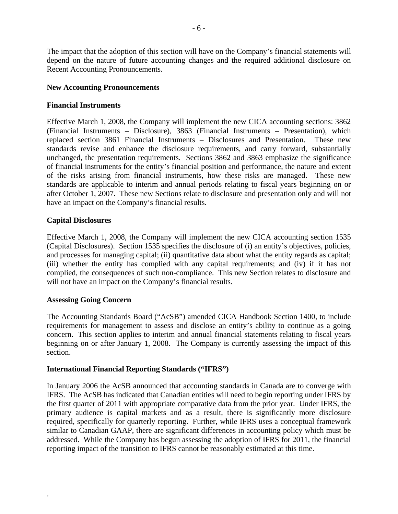The impact that the adoption of this section will have on the Company's financial statements will depend on the nature of future accounting changes and the required additional disclosure on Recent Accounting Pronouncements.

# **New Accounting Pronouncements**

# **Financial Instruments**

Effective March 1, 2008, the Company will implement the new CICA accounting sections: 3862 (Financial Instruments – Disclosure), 3863 (Financial Instruments – Presentation), which replaced section 3861 Financial Instruments – Disclosures and Presentation. These new standards revise and enhance the disclosure requirements, and carry forward, substantially unchanged, the presentation requirements. Sections 3862 and 3863 emphasize the significance of financial instruments for the entity's financial position and performance, the nature and extent of the risks arising from financial instruments, how these risks are managed. These new standards are applicable to interim and annual periods relating to fiscal years beginning on or after October 1, 2007. These new Sections relate to disclosure and presentation only and will not have an impact on the Company's financial results.

# **Capital Disclosures**

Effective March 1, 2008, the Company will implement the new CICA accounting section 1535 (Capital Disclosures). Section 1535 specifies the disclosure of (i) an entity's objectives, policies, and processes for managing capital; (ii) quantitative data about what the entity regards as capital; (iii) whether the entity has complied with any capital requirements; and (iv) if it has not complied, the consequences of such non-compliance. This new Section relates to disclosure and will not have an impact on the Company's financial results.

# **Assessing Going Concern**

F

The Accounting Standards Board ("AcSB") amended CICA Handbook Section 1400, to include requirements for management to assess and disclose an entity's ability to continue as a going concern. This section applies to interim and annual financial statements relating to fiscal years beginning on or after January 1, 2008. The Company is currently assessing the impact of this section.

# **International Financial Reporting Standards ("IFRS")**

In January 2006 the AcSB announced that accounting standards in Canada are to converge with IFRS. The AcSB has indicated that Canadian entities will need to begin reporting under IFRS by the first quarter of 2011 with appropriate comparative data from the prior year. Under IFRS, the primary audience is capital markets and as a result, there is significantly more disclosure required, specifically for quarterly reporting. Further, while IFRS uses a conceptual framework similar to Canadian GAAP, there are significant differences in accounting policy which must be addressed. While the Company has begun assessing the adoption of IFRS for 2011, the financial reporting impact of the transition to IFRS cannot be reasonably estimated at this time.